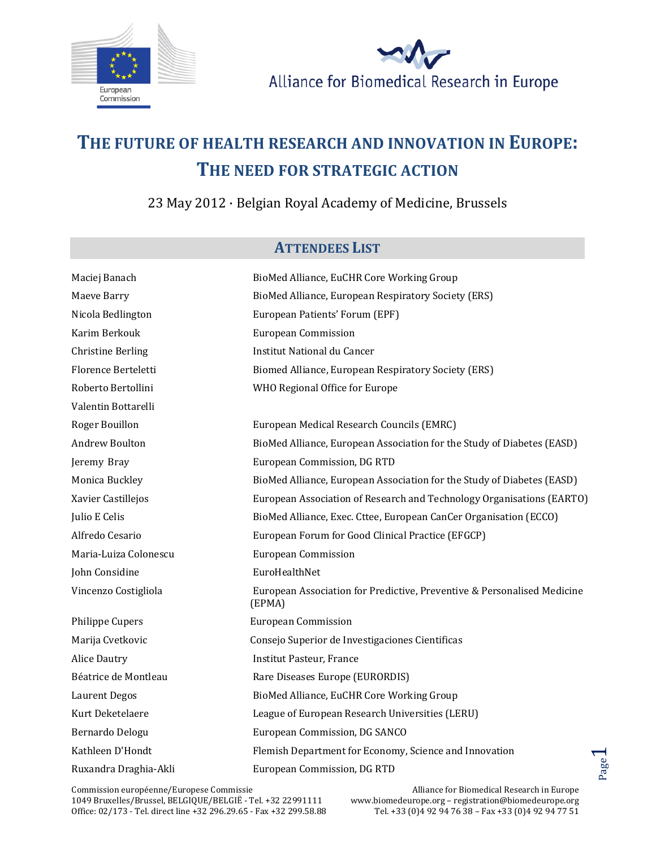



## **THE FUTURE OF HEALTH RESEARCH AND INNOVATION IN EUROPE: THE NEED FOR STRATEGIC ACTION**

23 May 2012 · Belgian Royal Academy of Medicine, Brussels

## **ATTENDEES LIST**

| Maciej Banach            | BioMed Alliance, EuCHR Core Working Group                                         |
|--------------------------|-----------------------------------------------------------------------------------|
| Maeve Barry              | BioMed Alliance, European Respiratory Society (ERS)                               |
| Nicola Bedlington        | European Patients' Forum (EPF)                                                    |
| Karim Berkouk            | <b>European Commission</b>                                                        |
| <b>Christine Berling</b> | Institut National du Cancer                                                       |
| Florence Berteletti      | Biomed Alliance, European Respiratory Society (ERS)                               |
| Roberto Bertollini       | WHO Regional Office for Europe                                                    |
| Valentin Bottarelli      |                                                                                   |
| Roger Bouillon           | European Medical Research Councils (EMRC)                                         |
| <b>Andrew Boulton</b>    | BioMed Alliance, European Association for the Study of Diabetes (EASD)            |
| Jeremy Bray              | European Commission, DG RTD                                                       |
| Monica Buckley           | BioMed Alliance, European Association for the Study of Diabetes (EASD)            |
| Xavier Castillejos       | European Association of Research and Technology Organisations (EARTO)             |
| Julio E Celis            | BioMed Alliance, Exec. Cttee, European CanCer Organisation (ECCO)                 |
| Alfredo Cesario          | European Forum for Good Clinical Practice (EFGCP)                                 |
| Maria-Luiza Colonescu    | <b>European Commission</b>                                                        |
| John Considine           | EuroHealthNet                                                                     |
| Vincenzo Costigliola     | European Association for Predictive, Preventive & Personalised Medicine<br>(EPMA) |
| Philippe Cupers          | <b>European Commission</b>                                                        |
| Marija Cvetkovic         | Consejo Superior de Investigaciones Cientificas                                   |
| <b>Alice Dautry</b>      | <b>Institut Pasteur, France</b>                                                   |
| Béatrice de Montleau     | Rare Diseases Europe (EURORDIS)                                                   |
| <b>Laurent Degos</b>     | BioMed Alliance, EuCHR Core Working Group                                         |
| Kurt Deketelaere         | League of European Research Universities (LERU)                                   |
| Bernardo Delogu          | European Commission, DG SANCO                                                     |
| Kathleen D'Hondt         | Flemish Department for Economy, Science and Innovation                            |
| Ruxandra Draghia-Akli    | European Commission, DG RTD                                                       |

Commission européenne/Europese Commissie 1049 Bruxelles/Brussel, BELGIQUE/BELGIË - Tel. +32 22991111 Office: 02/173 - Tel. direct line +32 296.29.65 - Fax +32 299.58.88 Page.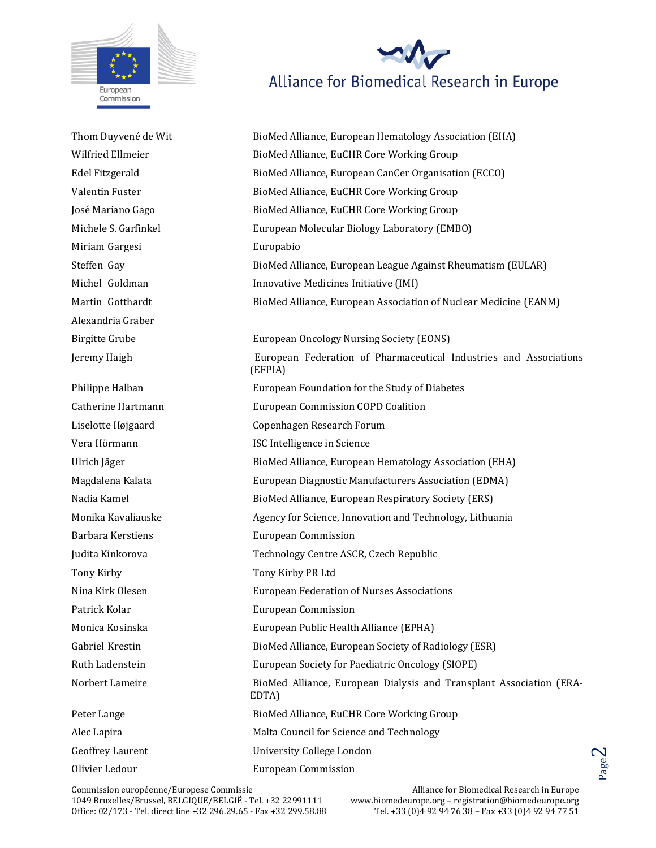

Alliance for Biomedical Research in Europe

Thom Duyvené de Wit BioMed Alliance, European Hematology Association (EHA) Wilfried Ellmeier BioMed Alliance, EuCHR Core Working Group Edel Fitzgerald BioMed Alliance, European CanCer Organisation (ECCO) Valentin Fuster BioMed Alliance, EuCHR Core Working Group José Mariano Gago BioMed Alliance, EuCHR Core Working Group Michele S. Garfinkel European Molecular Biology Laboratory (EMBO) Miriam Gargesi **Europabio** Steffen Gay BioMed Alliance, European League Against Rheumatism (EULAR) Michel Goldman **Innovative Medicines Initiative (IMI)** Martin Gotthardt BioMed Alliance, European Association of Nuclear Medicine (EANM) Alexandria Graber Birgitte Grube European Oncology Nursing Society (EONS) Jeremy Haigh European Federation of Pharmaceutical Industries and Associations (EFPIA) Philippe Halban **European Foundation for the Study of Diabetes** Catherine Hartmann European Commission COPD Coalition Liselotte Højgaard Copenhagen Research Forum Vera Hörmann ISC Intelligence in Science Ulrich Jäger BioMed Alliance, European Hematology Association (EHA) Magdalena Kalata European Diagnostic Manufacturers Association (EDMA) Nadia Kamel BioMed Alliance, European Respiratory Society (ERS) Monika Kavaliauske Agency for Science, Innovation and Technology, Lithuania Barbara Kerstiens European Commission Judita Kinkorova Technology Centre ASCR, Czech Republic Tony Kirby Tony Kirby PR Ltd Nina Kirk Olesen European Federation of Nurses Associations Patrick Kolar **European Commission** Monica Kosinska European Public Health Alliance (EPHA) Gabriel Krestin **BioMed Alliance, European Society of Radiology (ESR)** Ruth Ladenstein European Society for Paediatric Oncology (SIOPE) Norbert Lameire BioMed Alliance, European Dialysis and Transplant Association (ERA-EDTA) Peter Lange The BioMed Alliance, EuCHR Core Working Group Alec Lapira **Malta Council for Science and Technology** Geoffrey Laurent University College London Olivier Ledour European Commission

Commission européenne/Europese Commissie 1049 Bruxelles/Brussel, BELGIQUE/BELGIË - Tel. +32 22991111 Office: 02/173 - Tel. direct line +32 296.29.65 - Fax +32 299.58.88 Page.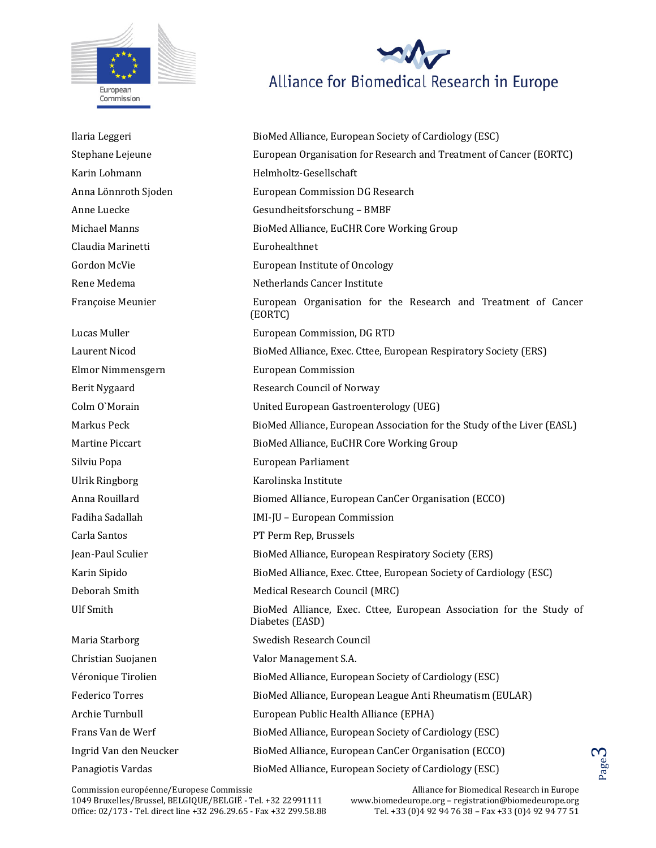



Karin Lohmann **Helmholtz-Gesellschaft** Anna Lönnroth Sjoden European Commission DG Research Anne Luecke Gesundheitsforschung – BMBF Michael Manns BioMed Alliance, EuCHR Core Working Group Claudia Marinetti Eurohealthnet Gordon McVie **European Institute of Oncology** Rene Medema Netherlands Cancer Institute Françoise Meunier European Organisation for the Research and Treatment of Cancer (EORTC) Lucas Muller European Commission, DG RTD Laurent Nicod BioMed Alliance, Exec. Cttee, European Respiratory Society (ERS) Elmor Nimmensgern European Commission Berit Nygaard **Research Council of Norway** Colm O`Morain United European Gastroenterology (UEG) Markus Peck **BioMed Alliance, European Association for the Study of the Liver (EASL)** Martine Piccart BioMed Alliance, EuCHR Core Working Group Silviu Popa European Parliament Ulrik Ringborg **Karolinska Institute** Anna Rouillard Biomed Alliance, European CanCer Organisation (ECCO) Fadiha Sadallah IMI-JU – European Commission Carla Santos PT Perm Rep, Brussels Jean-Paul Sculier BioMed Alliance, European Respiratory Society (ERS) Karin Sipido **BioMed Alliance, Exec. Cttee, European Society of Cardiology (ESC)** Deborah Smith Medical Research Council (MRC) Ulf Smith BioMed Alliance, Exec. Cttee, European Association for the Study of Diabetes (EASD) Maria Starborg **Swedish Research Council** Swedish Research Council Christian Suojanen Valor Management S.A. Véronique Tirolien BioMed Alliance, European Society of Cardiology (ESC) Federico Torres **BioMed Alliance, European League Anti Rheumatism (EULAR)** Federico Torres Archie Turnbull European Public Health Alliance (EPHA) Frans Van de Werf BioMed Alliance, European Society of Cardiology (ESC) Ingrid Van den Neucker BioMed Alliance, European CanCer Organisation (ECCO) Panagiotis Vardas **BioMed Alliance, European Society of Cardiology (ESC)**